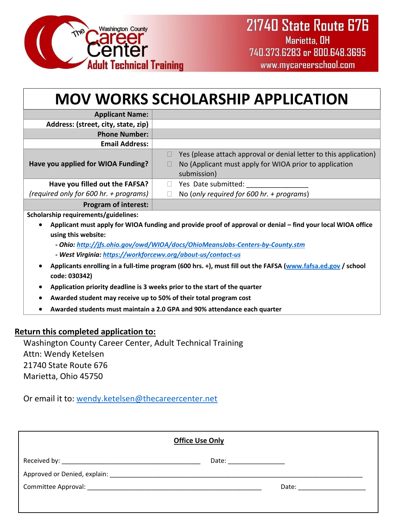

| <b>MOV WORKS SCHOLARSHIP APPLICATION</b>                                                                                      |                                                                                                                                                                      |  |
|-------------------------------------------------------------------------------------------------------------------------------|----------------------------------------------------------------------------------------------------------------------------------------------------------------------|--|
| <b>Applicant Name:</b>                                                                                                        |                                                                                                                                                                      |  |
| Address: (street, city, state, zip)                                                                                           |                                                                                                                                                                      |  |
| <b>Phone Number:</b>                                                                                                          |                                                                                                                                                                      |  |
| <b>Email Address:</b>                                                                                                         |                                                                                                                                                                      |  |
| Have you applied for WIOA Funding?                                                                                            | Yes (please attach approval or denial letter to this application)<br>$\Box$<br>No (Applicant must apply for WIOA prior to application<br>$\mathbf{L}$<br>submission) |  |
| Have you filled out the FAFSA?                                                                                                | Yes Date submitted:<br>$\Box$                                                                                                                                        |  |
| (required only for 600 hr. + programs)                                                                                        | No (only required for 600 hr. + programs)<br>П                                                                                                                       |  |
| <b>Program of interest:</b>                                                                                                   |                                                                                                                                                                      |  |
| Scholarship requirements/guidelines:                                                                                          |                                                                                                                                                                      |  |
| Applicant must apply for WIOA funding and provide proof of approval or denial – find your local WIOA office                   |                                                                                                                                                                      |  |
| using this website:                                                                                                           |                                                                                                                                                                      |  |
| - Ohio: http://jfs.ohio.gov/owd/WIOA/docs/OhioMeansJobs-Centers-by-County.stm                                                 |                                                                                                                                                                      |  |
| - West Virginia: https://workforcewv.org/about-us/contact-us                                                                  |                                                                                                                                                                      |  |
| Applicants enrolling in a full-time program (600 hrs. +), must fill out the FAFSA (www.fafsa.ed.gov / school<br>code: 030342) |                                                                                                                                                                      |  |
| Application priority deadline is 3 weeks prior to the start of the quarter<br>$\bullet$                                       |                                                                                                                                                                      |  |
| Awarded student may receive up to 50% of their total program cost<br>$\bullet$                                                |                                                                                                                                                                      |  |
| Awarded students must maintain a 2.0 GPA and 90% attendance each quarter                                                      |                                                                                                                                                                      |  |

## **Return this completed application to:**

Washington County Career Center, Adult Technical Training Attn: Wendy Ketelsen 21740 State Route 676 Marietta, Ohio 45750

Or email it to: [wendy.ketelsen@thecareercenter.net](mailto:wendy.ketelsen@thecareercenter.net)

| <b>Office Use Only</b> |                           |                           |  |
|------------------------|---------------------------|---------------------------|--|
|                        | Date: ___________________ |                           |  |
|                        |                           |                           |  |
|                        |                           | Date: ___________________ |  |
|                        |                           |                           |  |